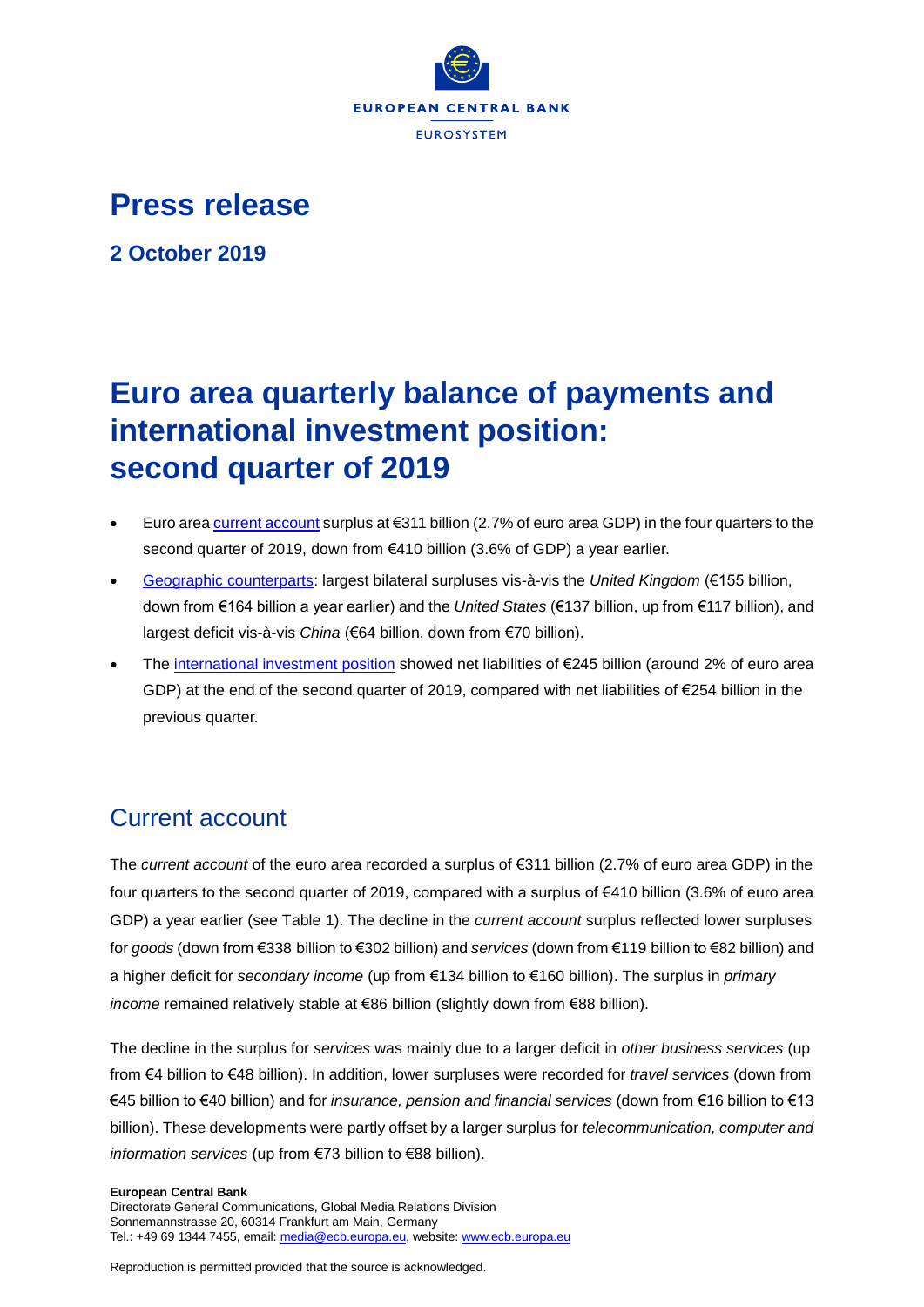

## **Press release**

**2 October 2019**

# **Euro area quarterly balance of payments and international investment position: second quarter of 2019**

- Euro area [current account](http://sdw.ecb.europa.eu/browseSelection.do?type=series&q=BP6.Q.N.I8.W1.S1.S1.T.B.CA._Z._Z._Z.EUR._T._X.N&node=SEARCHRESULTS&ec=&oc=&rc=&cv=&pb=&dc=&df=) surplus at €311 billion (2.7% of euro area GDP) in the four quarters to the second quarter of 2019, down from €410 billion (3.6% of GDP) a year earlier.
- [Geographic counterparts:](http://sdw.ecb.europa.eu/browseSelection.do?df=true&ec=&dc=&oc=&pb=&rc=&DATASET=0&removeItem=&removedItemList=&mergeFilter=&activeTab=&showHide=&FREQ.243=Q&ADJUSTMENT.243=N&REF_AREA.243=I8&COUNTERPART_AREA.243=CH&COUNTERPART_AREA.243=CN&COUNTERPART_AREA.243=GB&COUNTERPART_AREA.243=JP&COUNTERPART_AREA.243=K9&COUNTERPART_AREA.243=R12&COUNTERPART_AREA.243=RU&COUNTERPART_AREA.243=US&COUNTERPART_AREA.243=W1&REF_SECTOR.243=S1&ACCOUNTING_ENTRY.243=B&INT_ACC_ITEM.243=CA&INT_ACC_ITEM.243=G&INT_ACC_ITEM.243=IN1&INT_ACC_ITEM.243=IN2&INT_ACC_ITEM.243=S&UNIT_MEASURE.243=EUR&node=9688874&legendRef=reference&legendNor=) largest bilateral surpluses vis-à-vis the *United Kingdom* (€155 billion, down from €164 billion a year earlier) and the *United States* (€137 billion, up from €117 billion), and largest deficit vis-à-vis *China* (€64 billion, down from €70 billion).
- The [international investment position](http://sdw.ecb.europa.eu/browseSelection.do?type=series&q=BP6.Q.N.I8.W1.S1.S1.LE.N.FA._T.F._Z.EUR._T._X.N&node=SEARCHRESULTS&ec=&oc=&rc=&cv=&pb=&dc=&df=) showed net liabilities of €245 billion (around 2% of euro area GDP) at the end of the second quarter of 2019, compared with net liabilities of €254 billion in the previous quarter.

## Current account

The *current account* of the euro area recorded a surplus of €311 billion (2.7% of euro area GDP) in the four quarters to the second quarter of 2019, compared with a surplus of €410 billion (3.6% of euro area GDP) a year earlier (see Table 1). The decline in the *current account* surplus reflected lower surpluses for *goods* (down from €338 billion to €302 billion) and *services* (down from €119 billion to €82 billion) and a higher deficit for *secondary income* (up from €134 billion to €160 billion). The surplus in *primary income* remained relatively stable at €86 billion (slightly down from €88 billion).

The decline in the surplus for *services* was mainly due to a larger deficit in *other business services* (up from €4 billion to €48 billion). In addition, lower surpluses were recorded for *travel services* (down from €45 billion to €40 billion) and for *insurance, pension and financial services* (down from €16 billion to €13 billion). These developments were partly offset by a larger surplus for *telecommunication, computer and information services* (up from €73 billion to €88 billion).

#### **European Central Bank**

Directorate General Communications, Global Media Relations Division Sonnemannstrasse 20, 60314 Frankfurt am Main, Germany Tel.: +49 69 1344 7455, email[: media@ecb.europa.eu,](mailto:media@ecb.europa.eu) website[: www.ecb.europa.eu](http://www.ecb.europa.eu/)

Reproduction is permitted provided that the source is acknowledged.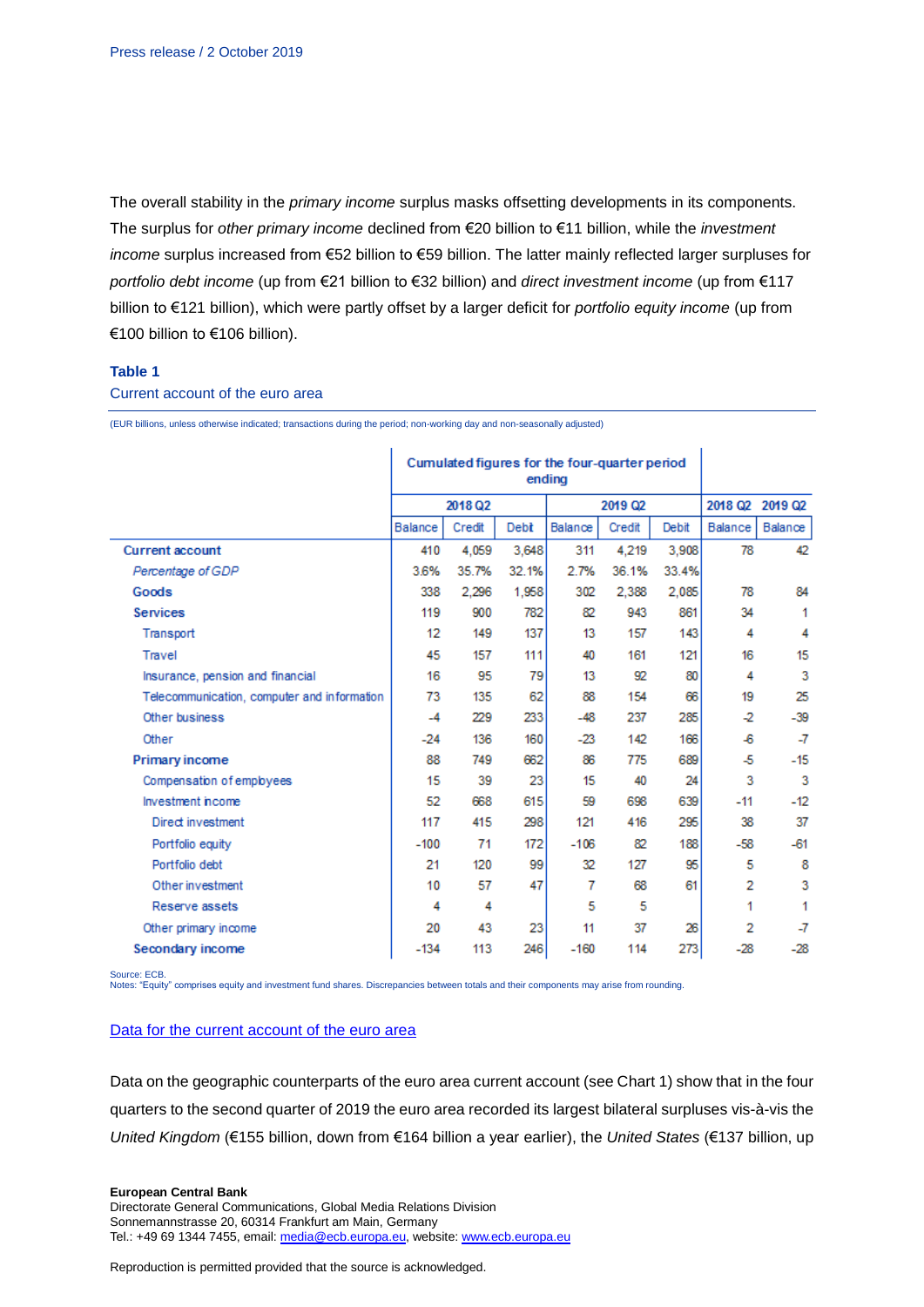The overall stability in the *primary income* surplus masks offsetting developments in its components. The surplus for *other primary income* declined from €20 billion to €11 billion, while the *investment income* surplus increased from €52 billion to €59 billion. The latter mainly reflected larger surpluses for *portfolio debt income* (up from €21 billion to €32 billion) and *direct investment income* (up from €117 billion to €121 billion), which were partly offset by a larger deficit for *portfolio equity income* (up from €100 billion to €106 billion).

#### **Table 1**

Current account of the euro area

(EUR billions, unless otherwise indicated; transactions during the period; non-working day and non-seasonally adjusted)

|                                             | Cumulated figures for the four-quarter period<br>endina |        |       |         |        |       |                |                 |
|---------------------------------------------|---------------------------------------------------------|--------|-------|---------|--------|-------|----------------|-----------------|
|                                             | 2018 Q2                                                 |        |       | 2019 Q2 |        |       |                | 2018 Q2 2019 Q2 |
|                                             | Balance                                                 | Credit | Debt  | Balance | Credit | Debit | Balance        | Balance         |
| <b>Current account</b>                      | 410                                                     | 4,059  | 3.648 | 311     | 4,219  | 3.908 | 78             | 42              |
| Percentage of GDP                           | 3.6%                                                    | 35.7%  | 32.1% | 2.7%    | 36.1%  | 33.4% |                |                 |
| Goods                                       | 338                                                     | 2.296  | 1,958 | 302     | 2,388  | 2.085 | 78             | 84              |
| <b>Services</b>                             | 119                                                     | 900    | 782   | 82      | 943    | 861   | 34             | 1               |
| Transport                                   | 12                                                      | 149    | 137   | 13      | 157    | 143   | 4              | 4               |
| Travel                                      | 45                                                      | 157    | 111   | 40      | 161    | 121   | 16             | 15              |
| Insurance, pension and financial            | 16                                                      | 95     | 79    | 13      | 92     | 80    | 4              | 3               |
| Telecommunication, computer and information | 73                                                      | 135    | 62    | 88      | 154    | 66    | 19             | 25              |
| Other business                              | $-4$                                                    | 229    | 233   | -48     | 237    | 285   | -2             | $-39$           |
| Other                                       | $-24$                                                   | 136    | 160   | $-23$   | 142    | 166   | -6             | -7              |
| <b>Primary income</b>                       | 88                                                      | 749    | 662   | 86      | 775    | 689   | -5             | $-15$           |
| Compensation of employees                   | 15                                                      | 39     | 23    | 15      | 40     | 24    | 3              | 3               |
| Investment income                           | 52                                                      | 668    | 615   | 59      | 698    | 639   | $-11$          | $-12$           |
| Direct investment                           | 117                                                     | 415    | 298   | 121     | 416    | 295   | 38             | 37              |
| Portfolio equity                            | $-100$                                                  | 71     | 172   | $-106$  | 82     | 188   | -58            | $-61$           |
| Portfolio debt                              | 21                                                      | 120    | 99    | 32      | 127    | 95    | 5              | 8               |
| Other investment                            | 10                                                      | 57     | 47    | 7       | 68     | 61    | $\overline{2}$ | 3               |
| Reserve assets                              | 4                                                       | 4      |       | 5       | 5      |       | 1              | 1               |
| Other primary income                        | 20                                                      | 43     | 23    | 11      | 37     | 26    | 2              | -7              |
| Secondary income                            | $-134$                                                  | 113    | 246   | $-160$  | 114    | 273   | $-28$          | $-28$           |

Source: ECB.

Notes: "Equity" comprises equity and investment fund shares. Discrepancies between totals and their components may arise from rounding.

## [Data for the current account of the euro area](http://sdw.ecb.europa.eu/browseSelection.do?type=series&q=BP6.Q.N.I8.W1.S1.S1.T.%3f.CA._Z._Z._Z.EUR._T._X.N%09BP6.Q.N.I8.W1.S1.S1.T.%3f.D1._Z._Z._Z.EUR._T._X.N%09BP6.Q.N.I8.W1.S1.S1.T.%3f.D41.P.F3.T.EUR._T._X.N%09BP6.Q.N.I8.W1.S1.S1.T.%3f.D4O._Z._Z._Z.EUR._T._X.N%09BP6.Q.N.I8.W1.S1.S1.T.%3f.D4P._T.F._Z.EUR._T._X.N%09BP6.Q.N.I8.W1.S1.S1.T.%3f.D4P.D.F._Z.EUR._T._X.N%09BP6.Q.N.I8.W1.S1.S1.T.%3f.D4P.O.F._Z.EUR._T._X.N%09BP6.Q.N.I8.W1.S1.S1.T.%3f.D4S.P.F5._Z.EUR._T._X.N%09BP6.Q.N.I8.W1.S1.S1.T.%3f.G._Z._Z._Z.EUR._T._X.N%09BP6.Q.N.I8.W1.S1.S1.T.%3f.G1._Z._Z._Z.EUR._T._X.N%09BP6.Q.N.I8.W1.S1.S1.T.%3f.IN1._Z._Z._Z.EUR._T._X.N%09BP6.Q.N.I8.W1.S1.S1.T.%3f.IN2._Z._Z._Z.EUR._T._X.N%09BP6.Q.N.I8.W1.S1.S1.T.%3f.S._Z._Z._Z.EUR._T._X.N%09BP6.Q.N.I8.W1.S1.S1.T.%3f.SC._Z._Z._Z.EUR._T._X.N%09BP6.Q.N.I8.W1.S1.S1.T.%3f.SD._Z._Z._Z.EUR._T._X.N%09BP6.Q.N.I8.W1.S1.S1.T.%3f.SF._Z._Z._Z.EUR._T._X.N%09BP6.Q.N.I8.W1.S1.S1.T.%3f.SI._Z._Z._Z.EUR._T._X.N%09BP6.Q.N.I8.W1.S1.S1.T.%3f.SJ._Z._Z._Z.EUR._T._X.N%09BP6.Q.N.I8.W1.S121.S1.T.C.D4P.R.F._Z.EUR.X1._X.N&node=SEARCHRESULTS&ec=&oc=&rc=&cv=&pb=&dc=&df=)

Data on the geographic counterparts of the euro area current account (see Chart 1) show that in the four quarters to the second quarter of 2019 the euro area recorded its largest bilateral surpluses vis-à-vis the *United Kingdom* (€155 billion, down from €164 billion a year earlier), the *United States* (€137 billion, up

#### **European Central Bank**

Directorate General Communications, Global Media Relations Division Sonnemannstrasse 20, 60314 Frankfurt am Main, Germany Tel.: +49 69 1344 7455, email[: media@ecb.europa.eu,](mailto:media@ecb.europa.eu) website[: www.ecb.europa.eu](http://www.ecb.europa.eu/)

Reproduction is permitted provided that the source is acknowledged.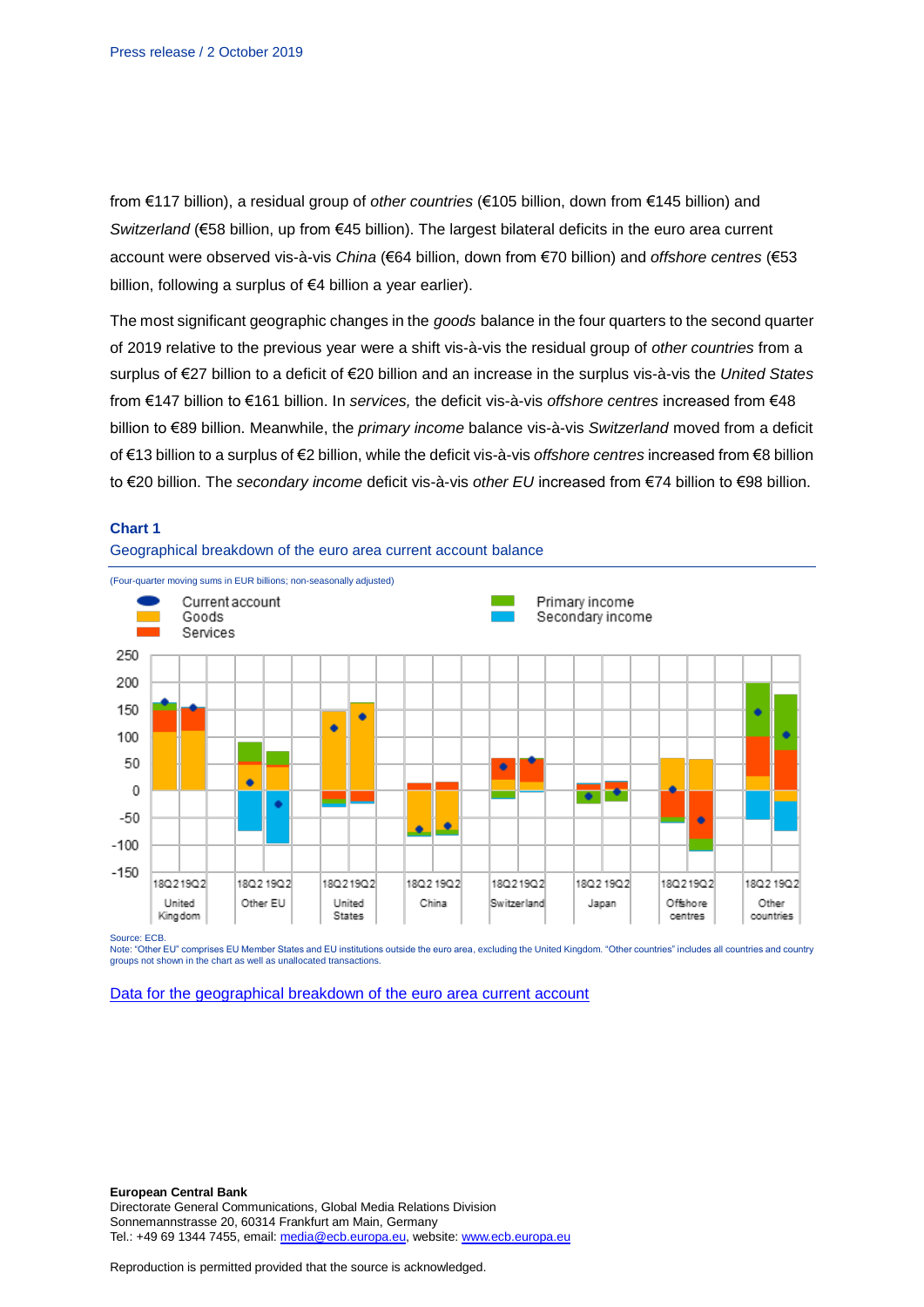from €117 billion), a residual group of *other countries* (€105 billion, down from €145 billion) and *Switzerland* (€58 billion, up from €45 billion). The largest bilateral deficits in the euro area current account were observed vis-à-vis *China* (€64 billion, down from €70 billion) and *offshore centres* (€53 billion, following a surplus of €4 billion a year earlier).

The most significant geographic changes in the *goods* balance in the four quarters to the second quarter of 2019 relative to the previous year were a shift vis-à-vis the residual group of *other countries* from a surplus of €27 billion to a deficit of €20 billion and an increase in the surplus vis-à-vis the *United States* from €147 billion to €161 billion. In *services,* the deficit vis-à-vis *offshore centres* increased from €48 billion to €89 billion. Meanwhile, the *primary income* balance vis-à-vis *Switzerland* moved from a deficit of €13 billion to a surplus of €2 billion, while the deficit vis-à-vis *offshore centres* increased from €8 billion to €20 billion. The *secondary income* deficit vis-à-vis *other EU* increased from €74 billion to €98 billion.



#### **Chart 1**

Source: ECB.

Note: "Other EU" comprises EU Member States and EU institutions outside the euro area, excluding the United Kingdom. "Other countries" includes all countries and country groups not shown in the chart as well as unallocated transactions.

[Data for the geographical breakdown of the euro area current account](http://sdw.ecb.europa.eu/browseSelection.do?type=series&q=BP6.Q.N.I8.%5e%5e.S1.S1.T.B.CA._Z._Z._Z.EUR._T._X.N%09BP6.Q.N.I8.%5e%5e.S1.S1.T.B.G._Z._Z._Z.EUR._T._X.N%09BP6.Q.N.I8.%5e%5e.S1.S1.T.B.IN1._Z._Z._Z.EUR._T._X.N%09BP6.Q.N.I8.%5e%5e.S1.S1.T.B.IN2._Z._Z._Z.EUR._T._X.N%09BP6.Q.N.I8.%5e%5e.S1.S1.T.B.S._Z._Z._Z.EUR._T._X.N&node=SEARCHRESULTS&ec=&oc=&rc=&cv=&pb=&dc=&df=)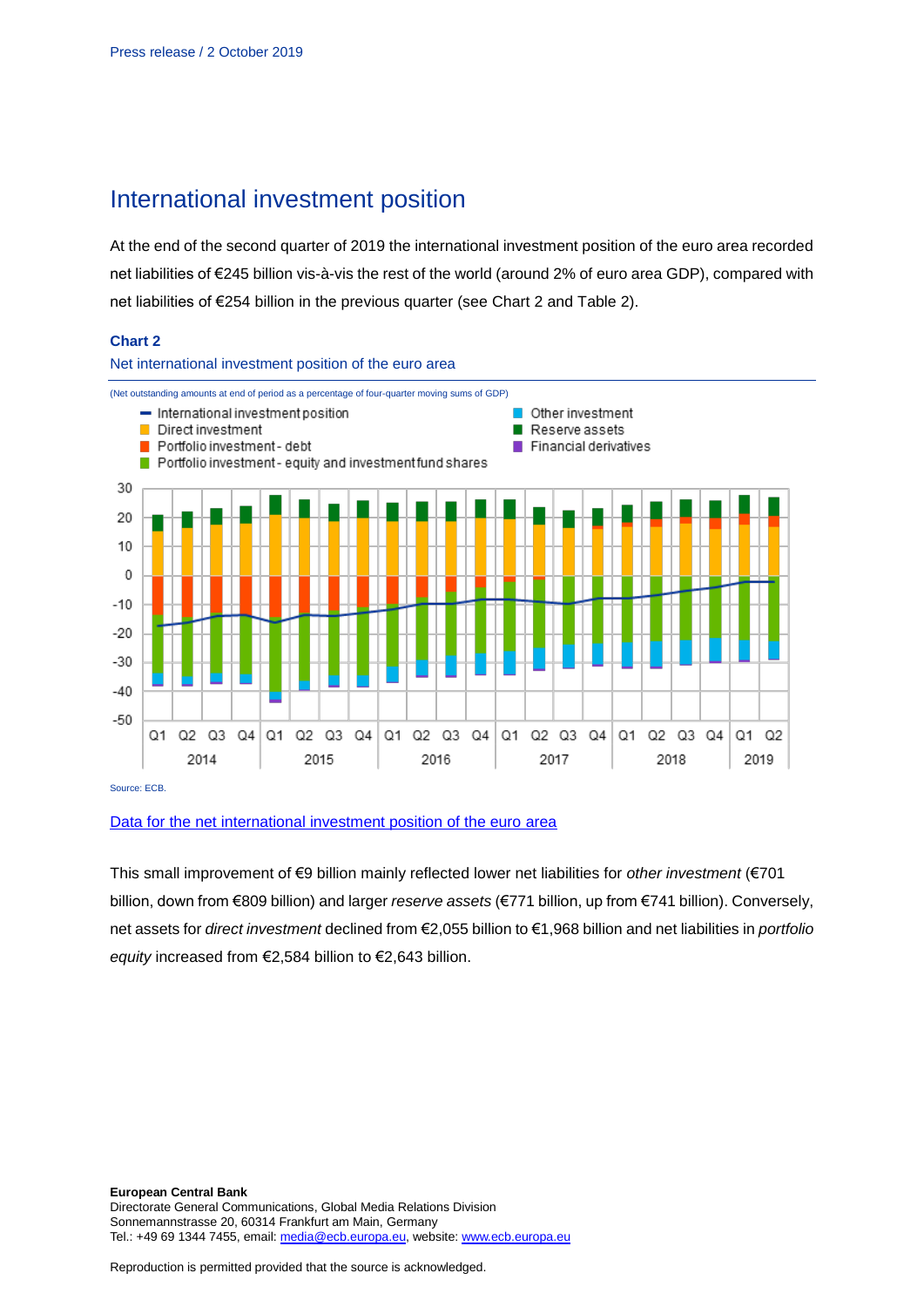## International investment position

At the end of the second quarter of 2019 the international investment position of the euro area recorded net liabilities of €245 billion vis-à-vis the rest of the world (around 2% of euro area GDP), compared with net liabilities of €254 billion in the previous quarter (see Chart 2 and Table 2).

## **Chart 2**



### [Data for the net international investment position of the euro area](http://sdw.ecb.europa.eu/browseSelection.do?type=series&q=BP6.Q.N.I8.W1.S1.S1.LE.N.FA._T.F._Z.EUR._T._X.N+BP6.Q.N.I8.W1.S1.S1.LE.N.FA.D.F._Z.EUR._T._X.N+BP6.Q.N.I8.W1.S1.S1.LE.N.FA.F.F7.T.EUR._T.T.N+BP6.Q.N.I8.W1.S1.S1.LE.N.FA.O.F._Z.EUR._T._X.N+BP6.Q.N.I8.W1.S1.S1.LE.N.FA.P.F3.T.EUR._T.M.N+BP6.Q.N.I8.W1.S1.S1.LE.N.FA.P.F5._Z.EUR._T.M.N+BP6.Q.N.I8.W1.S121.S1.LE.A.FA.R.F._Z.EUR.X1._X.N&node=SEARCHRESULTS&ec=&oc=&rc=&cv=&pb=&dc=&df=)

This small improvement of €9 billion mainly reflected lower net liabilities for *other investment* (€701 billion, down from €809 billion) and larger *reserve assets* (€771 billion, up from €741 billion). Conversely, net assets for *direct investment* declined from €2,055 billion to €1,968 billion and net liabilities in *portfolio equity* increased from €2,584 billion to €2,643 billion.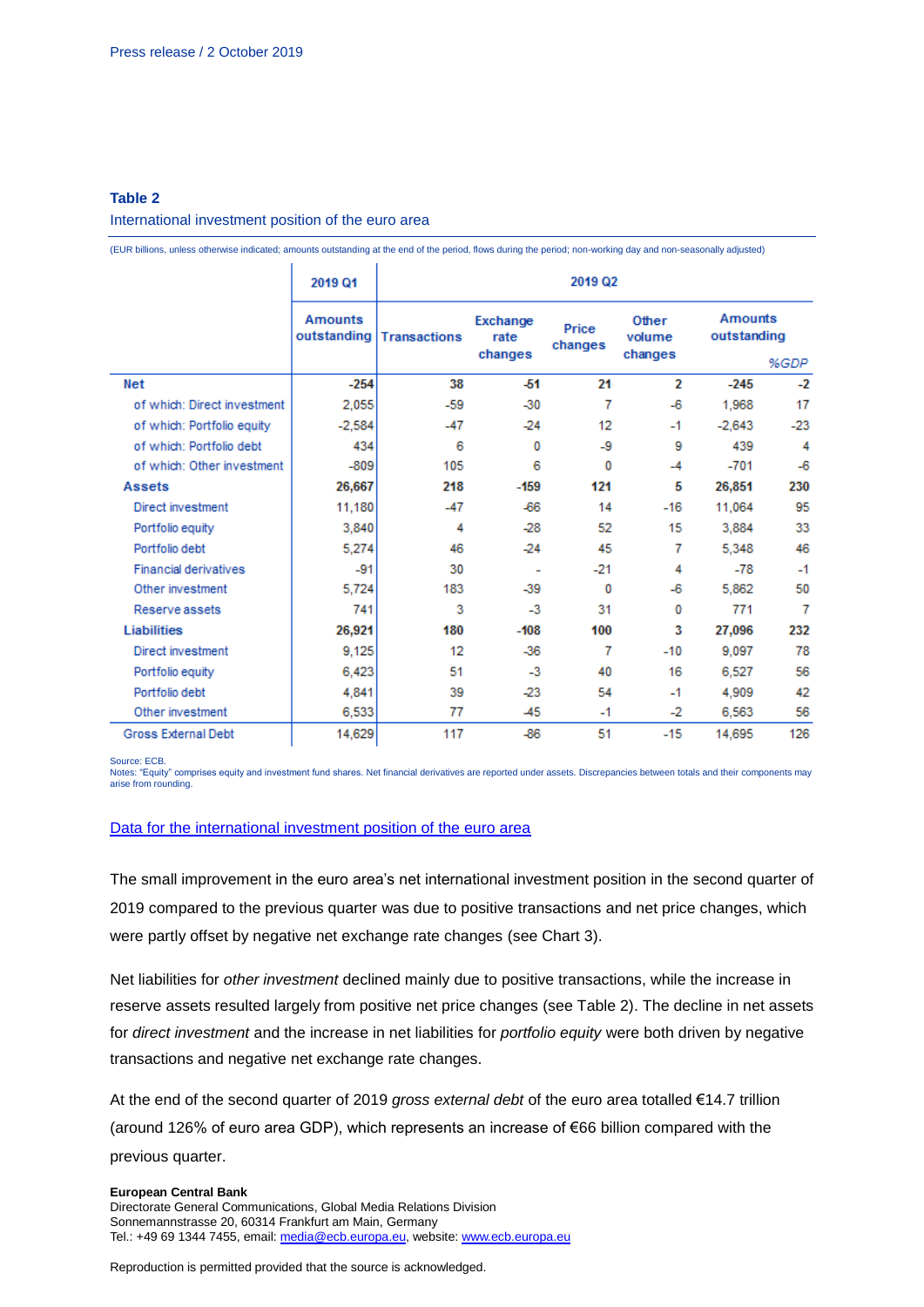## **Table 2**

#### International investment position of the euro area

(EUR billions, unless otherwise indicated; amounts outstanding at the end of the period, flows during the period; non-working day and non-seasonally adjusted)

|                              | 2019 Q1                       | 2019 Q2             |                             |                  |                            |          |                                       |  |  |  |
|------------------------------|-------------------------------|---------------------|-----------------------------|------------------|----------------------------|----------|---------------------------------------|--|--|--|
|                              | <b>Amounts</b><br>outstanding | <b>Transactions</b> | Exchange<br>rate<br>changes | Price<br>changes | Other<br>volume<br>changes |          | <b>Amounts</b><br>outstanding<br>%GDP |  |  |  |
| <b>Net</b>                   | $-254$                        | 38                  | -51                         | 21               | 2                          | $-245$   | $-2$                                  |  |  |  |
| of which: Direct investment  | 2,055                         | $-59$               | $-30$                       | 7                | $-6$                       | 1.968    | 17                                    |  |  |  |
| of which: Portfolio equity   | $-2,584$                      | $-47$               | $-24$                       | 12               | $-1$                       | $-2.643$ | $-23$                                 |  |  |  |
| of which: Portfolio debt     | 434                           | 6                   | 0                           | -9               | 9                          | 439      | 4                                     |  |  |  |
| of which: Other investment   | $-809$                        | 105                 | 6                           | o                | $-4$                       | $-701$   | $-6$                                  |  |  |  |
| <b>Assets</b>                | 26,667                        | 218                 | $-159$                      | 121              | 5                          | 26,851   | 230                                   |  |  |  |
| Direct investment            | 11,180                        | $-47$               | -66                         | 14               | $-16$                      | 11,064   | 95                                    |  |  |  |
| Portfolio equity             | 3.840                         | 4                   | $-28$                       | 52               | 15                         | 3.884    | 33                                    |  |  |  |
| Portfolio debt               | 5,274                         | 46                  | $-24$                       | 45               | 7                          | 5.348    | 46                                    |  |  |  |
| <b>Financial derivatives</b> | $-91$                         | 30                  | ٠                           | $-21$            | 4                          | $-78$    | $-1$                                  |  |  |  |
| Other investment             | 5,724                         | 183                 | $-39$                       | 0                | $-6$                       | 5,862    | 50                                    |  |  |  |
| Reserve assets               | 741                           | 3                   | $-3$                        | 31               | 0                          | 771      | 7                                     |  |  |  |
| <b>Liabilities</b>           | 26,921                        | 180                 | $-108$                      | 100              | 3                          | 27,096   | 232                                   |  |  |  |
| Direct investment            | 9,125                         | 12                  | $-36$                       | 7                | $-10$                      | 9,097    | 78                                    |  |  |  |
| Portfolio equity             | 6,423                         | 51                  | $-3$                        | 40               | 16                         | 6.527    | 56                                    |  |  |  |
| Portfolio debt               | 4,841                         | 39                  | $-23$                       | 54               | $-1$                       | 4,909    | 42                                    |  |  |  |
| Other investment             | 6,533                         | 77                  | -45                         | $-1$             | -2                         | 6,563    | 56                                    |  |  |  |
| Gross External Debt          | 14,629                        | 117                 | $-86$                       | 51               | $-15$                      | 14,695   | 126                                   |  |  |  |

Source: ECB.<br>Notes: "Equity" comprises equity and investment fund shares. Net financial derivatives are reported under assets. Discrepancies between totals and their components may arise from rounding.

#### [Data for the international investment position of the euro area](http://sdw.ecb.europa.eu/browseSelection.do?type=series&q=BP6.Q.N.I8.W1.S1.S1.K7%3f.%3f.FA._T.F._Z.EUR._T._X.N%09BP6.Q.N.I8.W1.S1.S1.K7%3f.%3f.FA.D.F._Z.EUR._T._X.N%09BP6.Q.N.I8.W1.S1.S1.K7%3f.%3f.FA.O.F._Z.EUR._T._X.N%09BP6.Q.N.I8.W1.S1.S1.K7%3f.%3f.FA.P.F3.T.EUR._T.M.N%09BP6.Q.N.I8.W1.S1.S1.K7%3f.%3f.FA.P.F5._Z.EUR._T.M.N%09BP6.Q.N.I8.W1.S1.S1.K7A.N.FA.F.F7.T.EUR._T.T.N%09BP6.Q.N.I8.W1.S1.S1.K7B.N.FA.F.F7.T.EUR._T.T.N%09BP6.Q.N.I8.W1.S1.S1.KA.%3f.FA._X.F._Z.EUR._T._X.N%09BP6.Q.N.I8.W1.S1.S1.KA.%3f.FA.D.F._Z.EUR._T._X.N%09BP6.Q.N.I8.W1.S1.S1.KA.%3f.FA.O.F._Z.EUR._T._X.N%09BP6.Q.N.I8.W1.S1.S1.KA.%3f.FA.P.F3.T.EUR._T.M.N%09BP6.Q.N.I8.W1.S1.S1.KA.%3f.FA.P.F5._Z.EUR._T.M.N%09BP6.Q.N.I8.W1.S1.S1.KA.N.FA._T.F._Z.EUR._T._X.N%09BP6.Q.N.I8.W1.S1.S1.KA.N.FA.F.F7.T.EUR._T.T.N%09BP6.Q.N.I8.W1.S1.S1.LE.%5e.FA._X.F._Z.EUR._T._X.N%09BP6.Q.N.I8.W1.S1.S1.LE.%5e.FA.D.F._Z.EUR._T._X.N%09BP6.Q.N.I8.W1.S1.S1.LE.%5e.FA.O.F._Z.EUR._T._X.N%09BP6.Q.N.I8.W1.S1.S1.LE.%5e.FA.P.F3.T.EUR._T.M.N%09BP6.Q.N.I8.W1.S1.S1.LE.%5e.FA.P.F5._Z.EUR._T.M.N%09BP6.Q.N.I8.W1.S1.S1.LE.N.FA._T.F._Z.EUR._T._X.N%09BP6.Q.N.I8.W1.S1.S1.LE.N.FA.F.F7.T.EUR._T.T.N%09BP6.Q.N.I8.W1.S1.S1.T.%5e.FA._T.F._Z.EUR._T._X.N%09BP6.Q.N.I8.W1.S1.S1.T.%5e.FA.D.F._Z.EUR._T._X.N%09BP6.Q.N.I8.W1.S1.S1.T.%5e.FA.O.F._Z.EUR._T._X.N%09BP6.Q.N.I8.W1.S1.S1.T.%5e.FA.P.F3.T.EUR._T.M.N%09BP6.Q.N.I8.W1.S1.S1.T.%5e.FA.P.F5._Z.EUR._T.M.N%09BP6.Q.N.I8.W1.S1.S1.T.N.FA.F.F7.T.EUR._T.T.N%09BP6.Q.N.I8.W1.S121.S1.K7%3f.A.FA.R.F._Z.EUR.X1._X.N%09BP6.Q.N.I8.W1.S121.S1.KA.A.FA.R.F._Z.EUR.X1._X.N%09BP6.Q.N.I8.W1.S121.S1.LE.A.FA.R.F._Z.EUR.X1._X.N%09BP6.Q.N.I8.W1.S121.S1.T.A.FA.R.F._Z.EUR.X1._X.N%09BP6.Q.N.I8.W1.S1.S1.%3f.L.FA._T.FGED._Z.EUR._T._X.N&node=SEARCHRESULTS&ec=&oc=&rc=&cv=&pb=&dc=&df=)

The small improvement in the euro area's net international investment position in the second quarter of 2019 compared to the previous quarter was due to positive transactions and net price changes, which were partly offset by negative net exchange rate changes (see Chart 3).

Net liabilities for *other investment* declined mainly due to positive transactions, while the increase in reserve assets resulted largely from positive net price changes (see Table 2). The decline in net assets for *direct investment* and the increase in net liabilities for *portfolio equity* were both driven by negative transactions and negative net exchange rate changes.

At the end of the second quarter of 2019 *gross external debt* of the euro area totalled €14.7 trillion (around 126% of euro area GDP), which represents an increase of €66 billion compared with the previous quarter.

#### **European Central Bank**

Directorate General Communications, Global Media Relations Division Sonnemannstrasse 20, 60314 Frankfurt am Main, Germany Tel.: +49 69 1344 7455, email[: media@ecb.europa.eu,](mailto:media@ecb.europa.eu) website[: www.ecb.europa.eu](http://www.ecb.europa.eu/)

Reproduction is permitted provided that the source is acknowledged.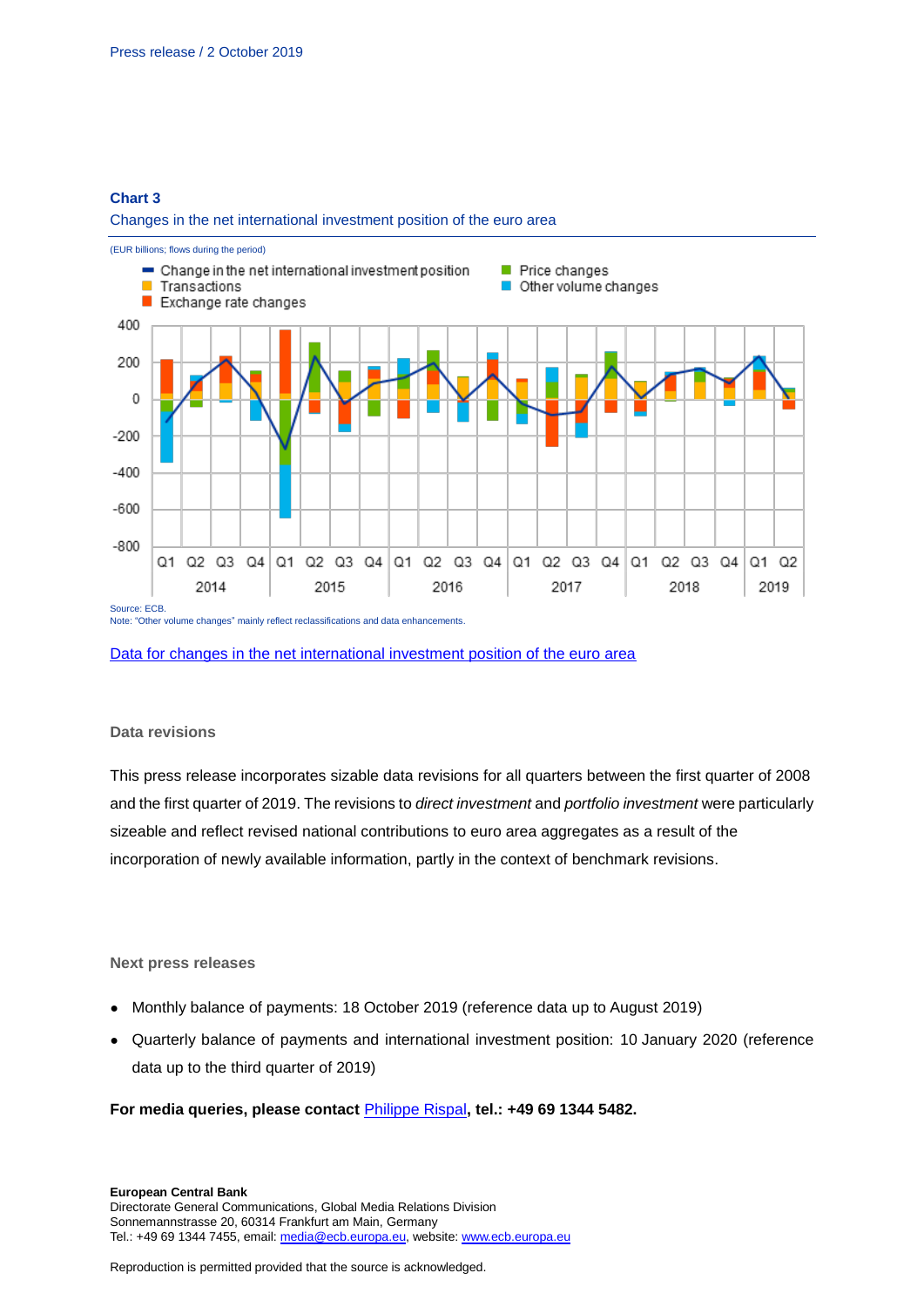## **Chart 3**

#### Changes in the net international investment position of the euro area



[Data for changes in the net international investment position of the euro area](http://sdw.ecb.europa.eu/browseSelection.do?type=series&q=BP6.Q.N.I8.W1.S1.S1.K.N.FA._T.F._Z.EUR._T._X.N+BP6.Q.N.I8.W1.S1.S1.K7A.N.FA._T.F._Z.EUR._T._X.N+BP6.Q.N.I8.W1.S1.S1.K7B.N.FA._T.F._Z.EUR._T._X.N+BP6.Q.N.I8.W1.S1.S1.KA.N.FA._T.F._Z.EUR._T._X.N+BP6.Q.N.I8.W1.S1.S1.LE.N.FA._T.F._Z.EUR._T._X.N++BP6.Q.N.I8.W1.S1.S1.T.N.FA._T.F._Z.EUR._T._X.N&node=SEARCHRESULTS&ec=&oc=&rc=&cv=&pb=&dc=&df=)

#### **Data revisions**

This press release incorporates sizable data revisions for all quarters between the first quarter of 2008 and the first quarter of 2019. The revisions to *direct investment* and *portfolio investment* were particularly sizeable and reflect revised national contributions to euro area aggregates as a result of the incorporation of newly available information, partly in the context of benchmark revisions.

### **Next press releases**

- Monthly balance of payments: 18 October 2019 (reference data up to August 2019)
- Quarterly balance of payments and international investment position: 10 January 2020 (reference data up to the third quarter of 2019)

#### **For media queries, please contact** [Philippe Rispal](mailto:philippe.rispal@ecb.europa.eu)**, tel.: +49 69 1344 5482.**